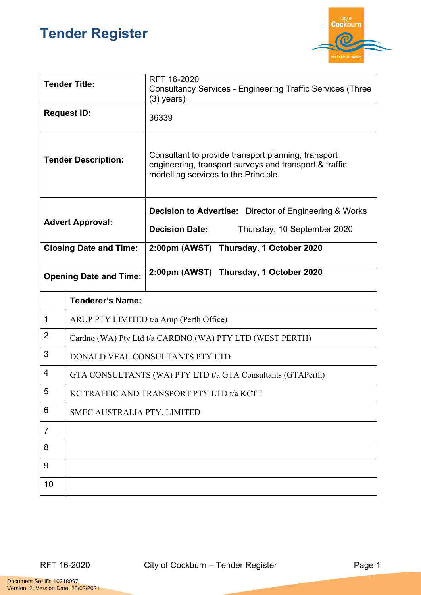## **Tender Register**



| <b>Tender Title:</b>          |                                                             | RFT 16-2020<br><b>Consultancy Services - Engineering Traffic Services (Three</b><br>$(3)$ years)                                                      |  |
|-------------------------------|-------------------------------------------------------------|-------------------------------------------------------------------------------------------------------------------------------------------------------|--|
| <b>Request ID:</b>            |                                                             | 36339                                                                                                                                                 |  |
| <b>Tender Description:</b>    |                                                             | Consultant to provide transport planning, transport<br>engineering, transport surveys and transport & traffic<br>modelling services to the Principle. |  |
| <b>Advert Approval:</b>       |                                                             | <b>Decision to Advertise:</b> Director of Engineering & Works                                                                                         |  |
|                               |                                                             | <b>Decision Date:</b><br>Thursday, 10 September 2020                                                                                                  |  |
| <b>Closing Date and Time:</b> |                                                             | 2:00pm (AWST) Thursday, 1 October 2020                                                                                                                |  |
| <b>Opening Date and Time:</b> |                                                             | 2:00pm (AWST) Thursday, 1 October 2020                                                                                                                |  |
|                               | <b>Tenderer's Name:</b>                                     |                                                                                                                                                       |  |
| 1                             | ARUP PTY LIMITED t/a Arup (Perth Office)                    |                                                                                                                                                       |  |
| $\overline{2}$                | Cardno (WA) Pty Ltd t/a CARDNO (WA) PTY LTD (WEST PERTH)    |                                                                                                                                                       |  |
| 3                             | DONALD VEAL CONSULTANTS PTY LTD                             |                                                                                                                                                       |  |
| 4                             | GTA CONSULTANTS (WA) PTY LTD t/a GTA Consultants (GTAPerth) |                                                                                                                                                       |  |
| 5                             | KC TRAFFIC AND TRANSPORT PTY LTD t/a KCTT                   |                                                                                                                                                       |  |
| 6                             | <b>SMEC AUSTRALIA PTY. LIMITED</b>                          |                                                                                                                                                       |  |
| $\overline{7}$                |                                                             |                                                                                                                                                       |  |
| 8                             |                                                             |                                                                                                                                                       |  |
| 9                             |                                                             |                                                                                                                                                       |  |
| 10                            |                                                             |                                                                                                                                                       |  |